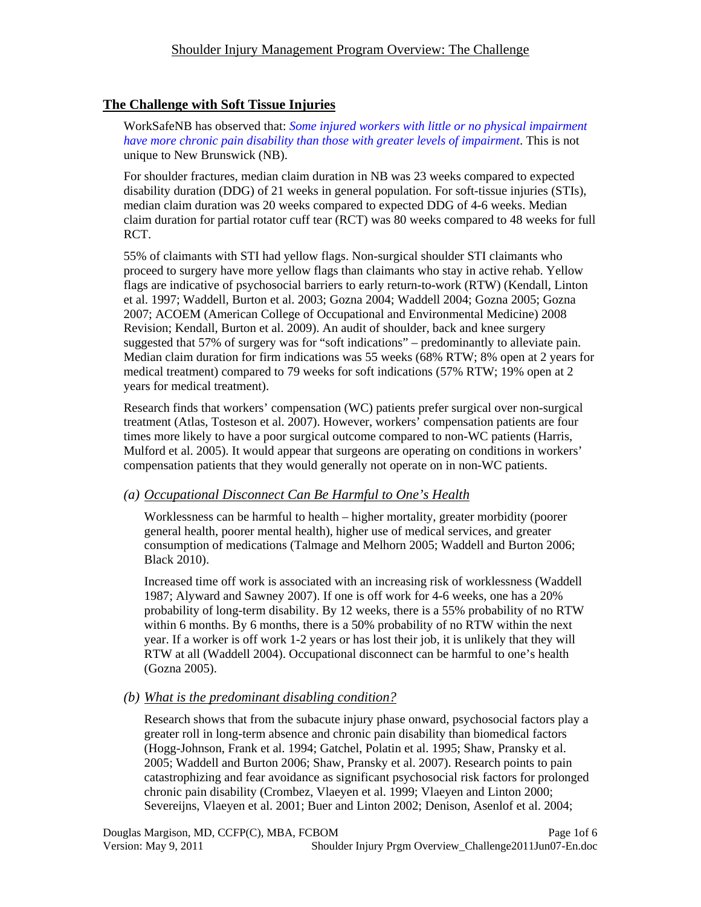# **The Challenge with Soft Tissue Injuries**

WorkSafeNB has observed that: *Some injured workers with little or no physical impairment have more chronic pain disability than those with greater levels of impairment*. This is not unique to New Brunswick (NB).

For shoulder fractures, median claim duration in NB was 23 weeks compared to expected disability duration (DDG) of 21 weeks in general population. For soft-tissue injuries (STIs), median claim duration was 20 weeks compared to expected DDG of 4-6 weeks. Median claim duration for partial rotator cuff tear (RCT) was 80 weeks compared to 48 weeks for full RCT.

55% of claimants with STI had yellow flags. Non-surgical shoulder STI claimants who proceed to surgery have more yellow flags than claimants who stay in active rehab. Yellow flags are indicative of psychosocial barriers to early return-to-work (RTW) (Kendall, Linton et al. 1997; Waddell, Burton et al. 2003; Gozna 2004; Waddell 2004; Gozna 2005; Gozna 2007; ACOEM (American College of Occupational and Environmental Medicine) 2008 Revision; Kendall, Burton et al. 2009). An audit of shoulder, back and knee surgery suggested that 57% of surgery was for "soft indications" – predominantly to alleviate pain. Median claim duration for firm indications was 55 weeks (68% RTW; 8% open at 2 years for medical treatment) compared to 79 weeks for soft indications (57% RTW; 19% open at 2 years for medical treatment).

Research finds that workers' compensation (WC) patients prefer surgical over non-surgical treatment (Atlas, Tosteson et al. 2007). However, workers' compensation patients are four times more likely to have a poor surgical outcome compared to non-WC patients (Harris, Mulford et al. 2005). It would appear that surgeons are operating on conditions in workers' compensation patients that they would generally not operate on in non-WC patients.

# *(a) Occupational Disconnect Can Be Harmful to One's Health*

Worklessness can be harmful to health – higher mortality, greater morbidity (poorer general health, poorer mental health), higher use of medical services, and greater consumption of medications (Talmage and Melhorn 2005; Waddell and Burton 2006; Black 2010).

Increased time off work is associated with an increasing risk of worklessness (Waddell 1987; Alyward and Sawney 2007). If one is off work for 4-6 weeks, one has a 20% probability of long-term disability. By 12 weeks, there is a 55% probability of no RTW within 6 months. By 6 months, there is a 50% probability of no RTW within the next year. If a worker is off work 1-2 years or has lost their job, it is unlikely that they will RTW at all (Waddell 2004). Occupational disconnect can be harmful to one's health (Gozna 2005).

#### *(b) What is the predominant disabling condition?*

Research shows that from the subacute injury phase onward, psychosocial factors play a greater roll in long-term absence and chronic pain disability than biomedical factors (Hogg-Johnson, Frank et al. 1994; Gatchel, Polatin et al. 1995; Shaw, Pransky et al. 2005; Waddell and Burton 2006; Shaw, Pransky et al. 2007). Research points to pain catastrophizing and fear avoidance as significant psychosocial risk factors for prolonged chronic pain disability (Crombez, Vlaeyen et al. 1999; Vlaeyen and Linton 2000; Severeijns, Vlaeyen et al. 2001; Buer and Linton 2002; Denison, Asenlof et al. 2004;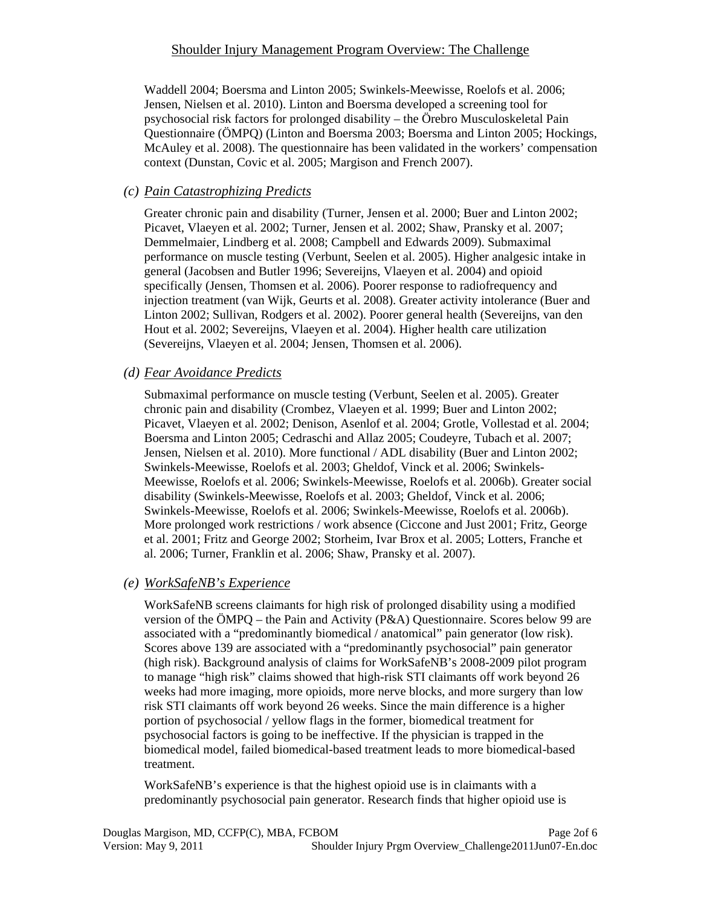## Shoulder Injury Management Program Overview: The Challenge

Waddell 2004; Boersma and Linton 2005; Swinkels-Meewisse, Roelofs et al. 2006; Jensen, Nielsen et al. 2010). Linton and Boersma developed a screening tool for psychosocial risk factors for prolonged disability – the Örebro Musculoskeletal Pain Questionnaire (ÖMPQ) (Linton and Boersma 2003; Boersma and Linton 2005; Hockings, McAuley et al. 2008). The questionnaire has been validated in the workers' compensation context (Dunstan, Covic et al. 2005; Margison and French 2007).

## *(c) Pain Catastrophizing Predicts*

Greater chronic pain and disability (Turner, Jensen et al. 2000; Buer and Linton 2002; Picavet, Vlaeyen et al. 2002; Turner, Jensen et al. 2002; Shaw, Pransky et al. 2007; Demmelmaier, Lindberg et al. 2008; Campbell and Edwards 2009). Submaximal performance on muscle testing (Verbunt, Seelen et al. 2005). Higher analgesic intake in general (Jacobsen and Butler 1996; Severeijns, Vlaeyen et al. 2004) and opioid specifically (Jensen, Thomsen et al. 2006). Poorer response to radiofrequency and injection treatment (van Wijk, Geurts et al. 2008). Greater activity intolerance (Buer and Linton 2002; Sullivan, Rodgers et al. 2002). Poorer general health (Severeijns, van den Hout et al. 2002; Severeijns, Vlaeyen et al. 2004). Higher health care utilization (Severeijns, Vlaeyen et al. 2004; Jensen, Thomsen et al. 2006).

## *(d) Fear Avoidance Predicts*

Submaximal performance on muscle testing (Verbunt, Seelen et al. 2005). Greater chronic pain and disability (Crombez, Vlaeyen et al. 1999; Buer and Linton 2002; Picavet, Vlaeyen et al. 2002; Denison, Asenlof et al. 2004; Grotle, Vollestad et al. 2004; Boersma and Linton 2005; Cedraschi and Allaz 2005; Coudeyre, Tubach et al. 2007; Jensen, Nielsen et al. 2010). More functional / ADL disability (Buer and Linton 2002; Swinkels-Meewisse, Roelofs et al. 2003; Gheldof, Vinck et al. 2006; Swinkels-Meewisse, Roelofs et al. 2006; Swinkels-Meewisse, Roelofs et al. 2006b). Greater social disability (Swinkels-Meewisse, Roelofs et al. 2003; Gheldof, Vinck et al. 2006; Swinkels-Meewisse, Roelofs et al. 2006; Swinkels-Meewisse, Roelofs et al. 2006b). More prolonged work restrictions / work absence (Ciccone and Just 2001; Fritz, George et al. 2001; Fritz and George 2002; Storheim, Ivar Brox et al. 2005; Lotters, Franche et al. 2006; Turner, Franklin et al. 2006; Shaw, Pransky et al. 2007).

#### *(e) WorkSafeNB's Experience*

WorkSafeNB screens claimants for high risk of prolonged disability using a modified version of the ÖMPQ – the Pain and Activity (P&A) Questionnaire. Scores below 99 are associated with a "predominantly biomedical / anatomical" pain generator (low risk). Scores above 139 are associated with a "predominantly psychosocial" pain generator (high risk). Background analysis of claims for WorkSafeNB's 2008-2009 pilot program to manage "high risk" claims showed that high-risk STI claimants off work beyond 26 weeks had more imaging, more opioids, more nerve blocks, and more surgery than low risk STI claimants off work beyond 26 weeks. Since the main difference is a higher portion of psychosocial / yellow flags in the former, biomedical treatment for psychosocial factors is going to be ineffective. If the physician is trapped in the biomedical model, failed biomedical-based treatment leads to more biomedical-based treatment.

WorkSafeNB's experience is that the highest opioid use is in claimants with a predominantly psychosocial pain generator. Research finds that higher opioid use is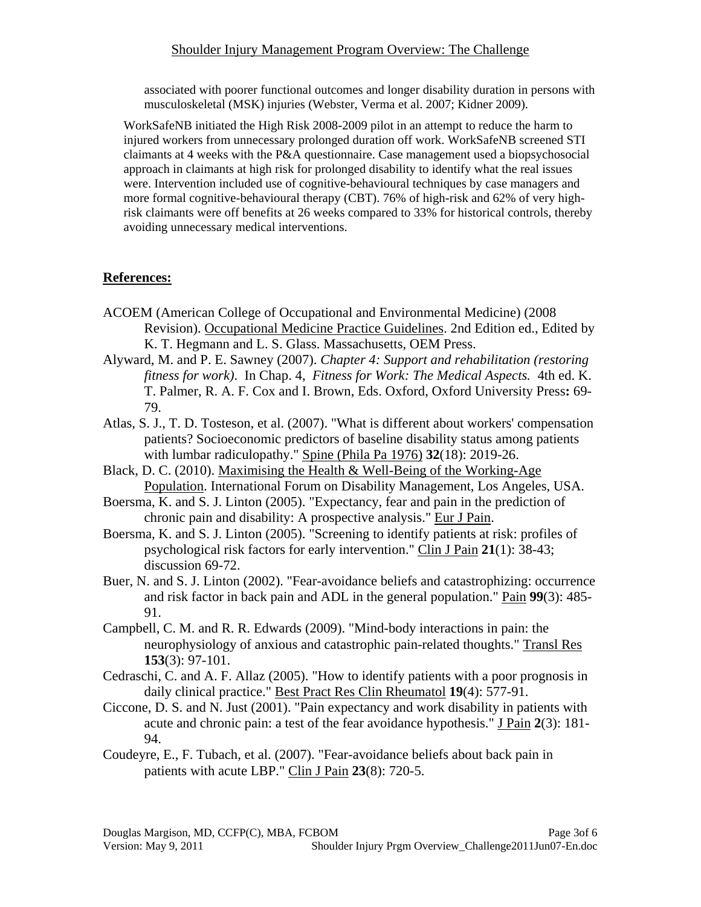#### Shoulder Injury Management Program Overview: The Challenge

associated with poorer functional outcomes and longer disability duration in persons with musculoskeletal (MSK) injuries (Webster, Verma et al. 2007; Kidner 2009).

WorkSafeNB initiated the High Risk 2008-2009 pilot in an attempt to reduce the harm to injured workers from unnecessary prolonged duration off work. WorkSafeNB screened STI claimants at 4 weeks with the P&A questionnaire. Case management used a biopsychosocial approach in claimants at high risk for prolonged disability to identify what the real issues were. Intervention included use of cognitive-behavioural techniques by case managers and more formal cognitive-behavioural therapy (CBT). 76% of high-risk and 62% of very highrisk claimants were off benefits at 26 weeks compared to 33% for historical controls, thereby avoiding unnecessary medical interventions.

## **References:**

- ACOEM (American College of Occupational and Environmental Medicine) (2008 Revision). Occupational Medicine Practice Guidelines. 2nd Edition ed., Edited by K. T. Hegmann and L. S. Glass. Massachusetts, OEM Press.
- Alyward, M. and P. E. Sawney (2007). *Chapter 4: Support and rehabilitation (restoring fitness for work)*. In Chap. 4, *Fitness for Work: The Medical Aspects.* 4th ed. K. T. Palmer, R. A. F. Cox and I. Brown, Eds. Oxford, Oxford University Press**:** 69- 79.
- Atlas, S. J., T. D. Tosteson, et al. (2007). "What is different about workers' compensation patients? Socioeconomic predictors of baseline disability status among patients with lumbar radiculopathy." Spine (Phila Pa 1976) **32**(18): 2019-26.
- Black, D. C. (2010). Maximising the Health & Well-Being of the Working-Age Population. International Forum on Disability Management, Los Angeles, USA.
- Boersma, K. and S. J. Linton (2005). "Expectancy, fear and pain in the prediction of chronic pain and disability: A prospective analysis." Eur J Pain.
- Boersma, K. and S. J. Linton (2005). "Screening to identify patients at risk: profiles of psychological risk factors for early intervention." Clin J Pain **21**(1): 38-43; discussion 69-72.
- Buer, N. and S. J. Linton (2002). "Fear-avoidance beliefs and catastrophizing: occurrence and risk factor in back pain and ADL in the general population." Pain **99**(3): 485- 91.
- Campbell, C. M. and R. R. Edwards (2009). "Mind-body interactions in pain: the neurophysiology of anxious and catastrophic pain-related thoughts." Transl Res **153**(3): 97-101.
- Cedraschi, C. and A. F. Allaz (2005). "How to identify patients with a poor prognosis in daily clinical practice." Best Pract Res Clin Rheumatol **19**(4): 577-91.
- Ciccone, D. S. and N. Just (2001). "Pain expectancy and work disability in patients with acute and chronic pain: a test of the fear avoidance hypothesis." J Pain **2**(3): 181- 94.
- Coudeyre, E., F. Tubach, et al. (2007). "Fear-avoidance beliefs about back pain in patients with acute LBP." Clin J Pain **23**(8): 720-5.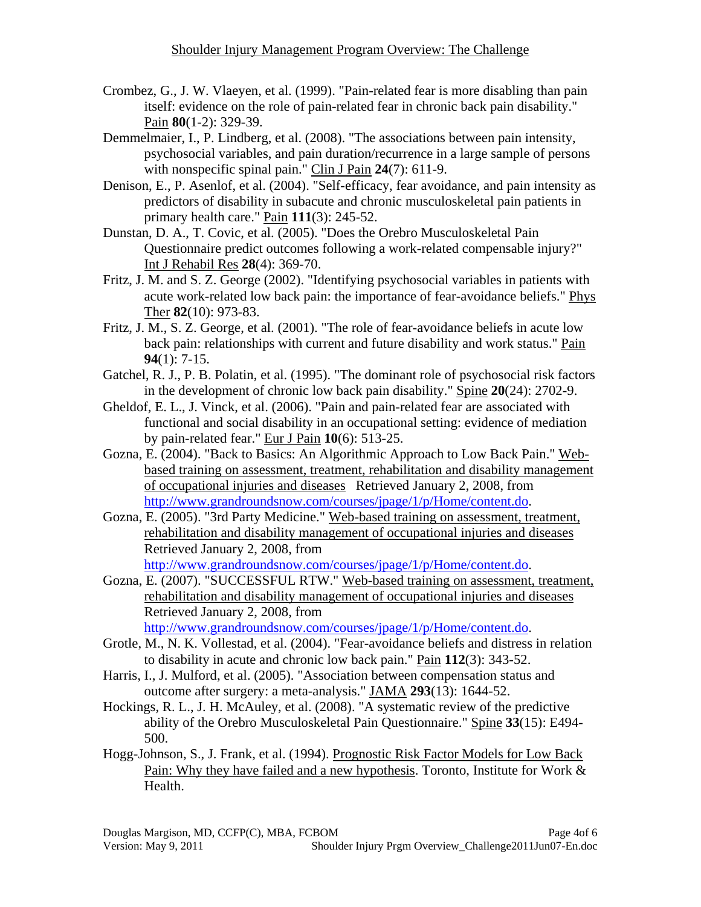- Crombez, G., J. W. Vlaeyen, et al. (1999). "Pain-related fear is more disabling than pain itself: evidence on the role of pain-related fear in chronic back pain disability." Pain **80**(1-2): 329-39.
- Demmelmaier, I., P. Lindberg, et al. (2008). "The associations between pain intensity, psychosocial variables, and pain duration/recurrence in a large sample of persons with nonspecific spinal pain." Clin J Pain **24**(7): 611-9.
- Denison, E., P. Asenlof, et al. (2004). "Self-efficacy, fear avoidance, and pain intensity as predictors of disability in subacute and chronic musculoskeletal pain patients in primary health care." Pain **111**(3): 245-52.
- Dunstan, D. A., T. Covic, et al. (2005). "Does the Orebro Musculoskeletal Pain Questionnaire predict outcomes following a work-related compensable injury?" Int J Rehabil Res **28**(4): 369-70.
- Fritz, J. M. and S. Z. George (2002). "Identifying psychosocial variables in patients with acute work-related low back pain: the importance of fear-avoidance beliefs." Phys Ther **82**(10): 973-83.
- Fritz, J. M., S. Z. George, et al. (2001). "The role of fear-avoidance beliefs in acute low back pain: relationships with current and future disability and work status." Pain **94**(1): 7-15.
- Gatchel, R. J., P. B. Polatin, et al. (1995). "The dominant role of psychosocial risk factors in the development of chronic low back pain disability." Spine **20**(24): 2702-9.
- Gheldof, E. L., J. Vinck, et al. (2006). "Pain and pain-related fear are associated with functional and social disability in an occupational setting: evidence of mediation by pain-related fear." Eur J Pain **10**(6): 513-25.
- Gozna, E. (2004). "Back to Basics: An Algorithmic Approach to Low Back Pain." Webbased training on assessment, treatment, rehabilitation and disability management of occupational injuries and diseases Retrieved January 2, 2008, from http://www.grandroundsnow.com/courses/jpage/1/p/Home/content.do.
- Gozna, E. (2005). "3rd Party Medicine." Web-based training on assessment, treatment, rehabilitation and disability management of occupational injuries and diseases Retrieved January 2, 2008, from http://www.grandroundsnow.com/courses/jpage/1/p/Home/content.do.
- Gozna, E. (2007). "SUCCESSFUL RTW." Web-based training on assessment, treatment, rehabilitation and disability management of occupational injuries and diseases Retrieved January 2, 2008, from http://www.grandroundsnow.com/courses/jpage/1/p/Home/content.do.
- Grotle, M., N. K. Vollestad, et al. (2004). "Fear-avoidance beliefs and distress in relation to disability in acute and chronic low back pain." Pain **112**(3): 343-52.
- Harris, I., J. Mulford, et al. (2005). "Association between compensation status and outcome after surgery: a meta-analysis." JAMA **293**(13): 1644-52.
- Hockings, R. L., J. H. McAuley, et al. (2008). "A systematic review of the predictive ability of the Orebro Musculoskeletal Pain Questionnaire." Spine **33**(15): E494- 500.
- Hogg-Johnson, S., J. Frank, et al. (1994). Prognostic Risk Factor Models for Low Back Pain: Why they have failed and a new hypothesis. Toronto, Institute for Work & Health.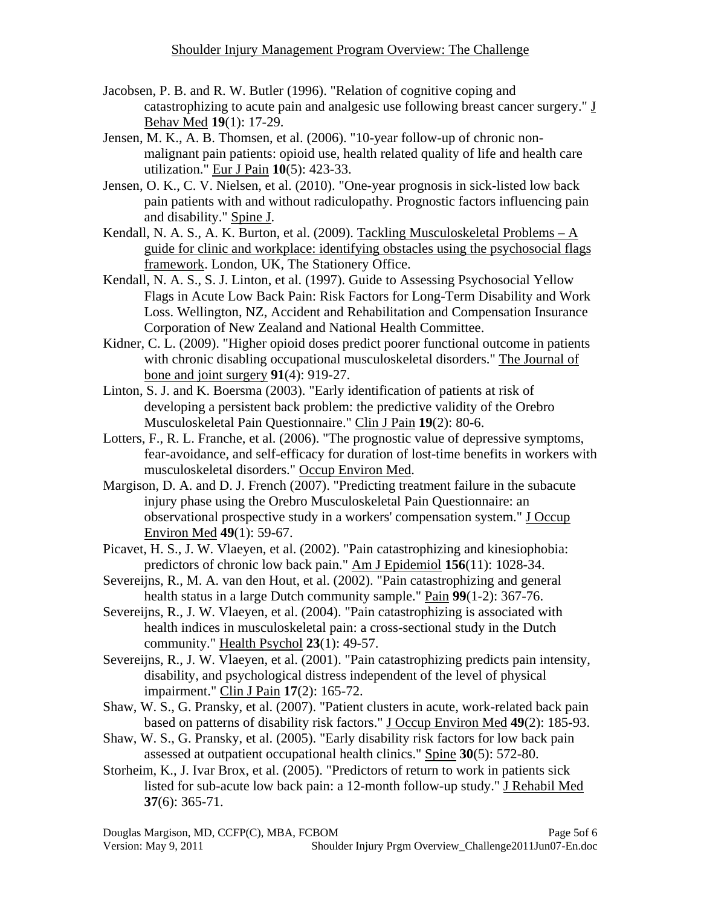- Jacobsen, P. B. and R. W. Butler (1996). "Relation of cognitive coping and catastrophizing to acute pain and analgesic use following breast cancer surgery." J Behav Med **19**(1): 17-29.
- Jensen, M. K., A. B. Thomsen, et al. (2006). "10-year follow-up of chronic nonmalignant pain patients: opioid use, health related quality of life and health care utilization." Eur J Pain **10**(5): 423-33.
- Jensen, O. K., C. V. Nielsen, et al. (2010). "One-year prognosis in sick-listed low back pain patients with and without radiculopathy. Prognostic factors influencing pain and disability." Spine J.
- Kendall, N. A. S., A. K. Burton, et al. (2009). Tackling Musculoskeletal Problems A guide for clinic and workplace: identifying obstacles using the psychosocial flags framework. London, UK, The Stationery Office.
- Kendall, N. A. S., S. J. Linton, et al. (1997). Guide to Assessing Psychosocial Yellow Flags in Acute Low Back Pain: Risk Factors for Long-Term Disability and Work Loss. Wellington, NZ, Accident and Rehabilitation and Compensation Insurance Corporation of New Zealand and National Health Committee.
- Kidner, C. L. (2009). "Higher opioid doses predict poorer functional outcome in patients with chronic disabling occupational musculoskeletal disorders." The Journal of bone and joint surgery **91**(4): 919-27.
- Linton, S. J. and K. Boersma (2003). "Early identification of patients at risk of developing a persistent back problem: the predictive validity of the Orebro Musculoskeletal Pain Questionnaire." Clin J Pain **19**(2): 80-6.
- Lotters, F., R. L. Franche, et al. (2006). "The prognostic value of depressive symptoms, fear-avoidance, and self-efficacy for duration of lost-time benefits in workers with musculoskeletal disorders." Occup Environ Med.
- Margison, D. A. and D. J. French (2007). "Predicting treatment failure in the subacute injury phase using the Orebro Musculoskeletal Pain Questionnaire: an observational prospective study in a workers' compensation system." J Occup Environ Med **49**(1): 59-67.
- Picavet, H. S., J. W. Vlaeyen, et al. (2002). "Pain catastrophizing and kinesiophobia: predictors of chronic low back pain." Am J Epidemiol **156**(11): 1028-34.
- Severeijns, R., M. A. van den Hout, et al. (2002). "Pain catastrophizing and general health status in a large Dutch community sample." Pain **99**(1-2): 367-76.
- Severeijns, R., J. W. Vlaeyen, et al. (2004). "Pain catastrophizing is associated with health indices in musculoskeletal pain: a cross-sectional study in the Dutch community." Health Psychol **23**(1): 49-57.
- Severeijns, R., J. W. Vlaeyen, et al. (2001). "Pain catastrophizing predicts pain intensity, disability, and psychological distress independent of the level of physical impairment." Clin J Pain **17**(2): 165-72.
- Shaw, W. S., G. Pransky, et al. (2007). "Patient clusters in acute, work-related back pain based on patterns of disability risk factors." J Occup Environ Med **49**(2): 185-93.
- Shaw, W. S., G. Pransky, et al. (2005). "Early disability risk factors for low back pain assessed at outpatient occupational health clinics." Spine **30**(5): 572-80.
- Storheim, K., J. Ivar Brox, et al. (2005). "Predictors of return to work in patients sick listed for sub-acute low back pain: a 12-month follow-up study." J Rehabil Med **37**(6): 365-71.